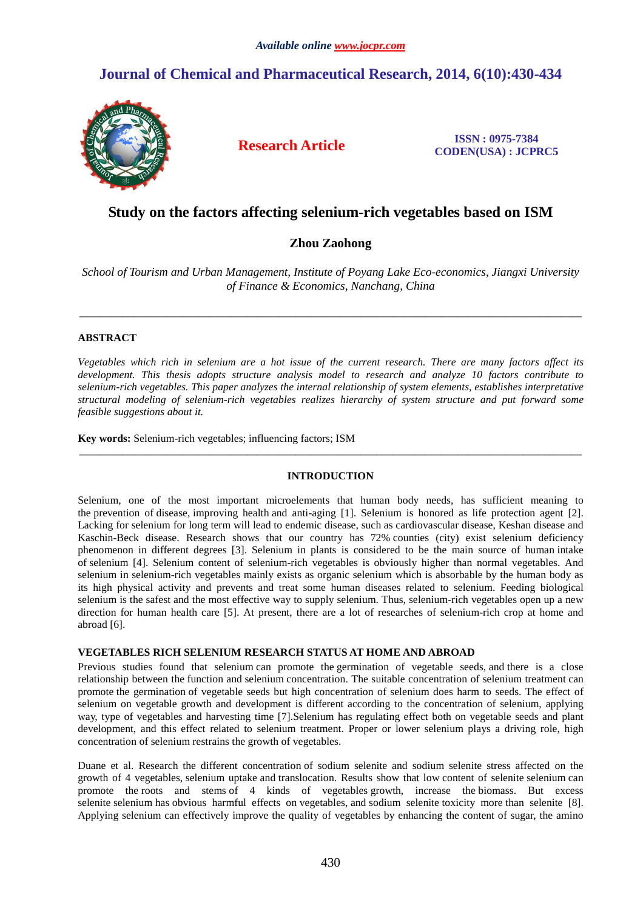# **Journal of Chemical and Pharmaceutical Research, 2014, 6(10):430-434**



**Research Article ISSN : 0975-7384 CODEN(USA) : JCPRC5**

# **Study on the factors affecting selenium-rich vegetables based on ISM**

# **Zhou Zaohong**

*School of Tourism and Urban Management, Institute of Poyang Lake Eco-economics, Jiangxi University of Finance & Economics, Nanchang, China* 

\_\_\_\_\_\_\_\_\_\_\_\_\_\_\_\_\_\_\_\_\_\_\_\_\_\_\_\_\_\_\_\_\_\_\_\_\_\_\_\_\_\_\_\_\_\_\_\_\_\_\_\_\_\_\_\_\_\_\_\_\_\_\_\_\_\_\_\_\_\_\_\_\_\_\_\_\_\_\_\_\_\_\_\_\_\_\_\_\_\_\_\_\_

# **ABSTRACT**

*Vegetables which rich in selenium are a hot issue of the current research. There are many factors affect its development. This thesis adopts structure analysis model to research and analyze 10 factors contribute to selenium-rich vegetables. This paper analyzes the internal relationship of system elements, establishes interpretative structural modeling of selenium-rich vegetables realizes hierarchy of system structure and put forward some feasible suggestions about it.* 

**Key words:** Selenium-rich vegetables; influencing factors; ISM

# **INTRODUCTION**

\_\_\_\_\_\_\_\_\_\_\_\_\_\_\_\_\_\_\_\_\_\_\_\_\_\_\_\_\_\_\_\_\_\_\_\_\_\_\_\_\_\_\_\_\_\_\_\_\_\_\_\_\_\_\_\_\_\_\_\_\_\_\_\_\_\_\_\_\_\_\_\_\_\_\_\_\_\_\_\_\_\_\_\_\_\_\_\_\_\_\_\_\_

Selenium, one of the most important microelements that human body needs, has sufficient meaning to the prevention of disease, improving health and anti-aging [1]. Selenium is honored as life protection agent [2]. Lacking for selenium for long term will lead to endemic disease, such as cardiovascular disease, Keshan disease and Kaschin-Beck disease. Research shows that our country has 72% counties (city) exist selenium deficiency phenomenon in different degrees [3]. Selenium in plants is considered to be the main source of human intake of selenium [4]. Selenium content of selenium-rich vegetables is obviously higher than normal vegetables. And selenium in selenium-rich vegetables mainly exists as organic selenium which is absorbable by the human body as its high physical activity and prevents and treat some human diseases related to selenium. Feeding biological selenium is the safest and the most effective way to supply selenium. Thus, selenium-rich vegetables open up a new direction for human health care [5]. At present, there are a lot of researches of selenium-rich crop at home and abroad [6].

# **VEGETABLES RICH SELENIUM RESEARCH STATUS AT HOME AND ABROAD**

Previous studies found that selenium can promote the germination of vegetable seeds, and there is a close relationship between the function and selenium concentration. The suitable concentration of selenium treatment can promote the germination of vegetable seeds but high concentration of selenium does harm to seeds. The effect of selenium on vegetable growth and development is different according to the concentration of selenium, applying way, type of vegetables and harvesting time [7].Selenium has regulating effect both on vegetable seeds and plant development, and this effect related to selenium treatment. Proper or lower selenium plays a driving role, high concentration of selenium restrains the growth of vegetables.

Duane et al. Research the different concentration of sodium selenite and sodium selenite stress affected on the growth of 4 vegetables, selenium uptake and translocation. Results show that low content of selenite selenium can promote the roots and stems of 4 kinds of vegetables growth, increase the biomass. But excess selenite selenium has obvious harmful effects on vegetables, and sodium selenite toxicity more than selenite [8]. Applying selenium can effectively improve the quality of vegetables by enhancing the content of sugar, the amino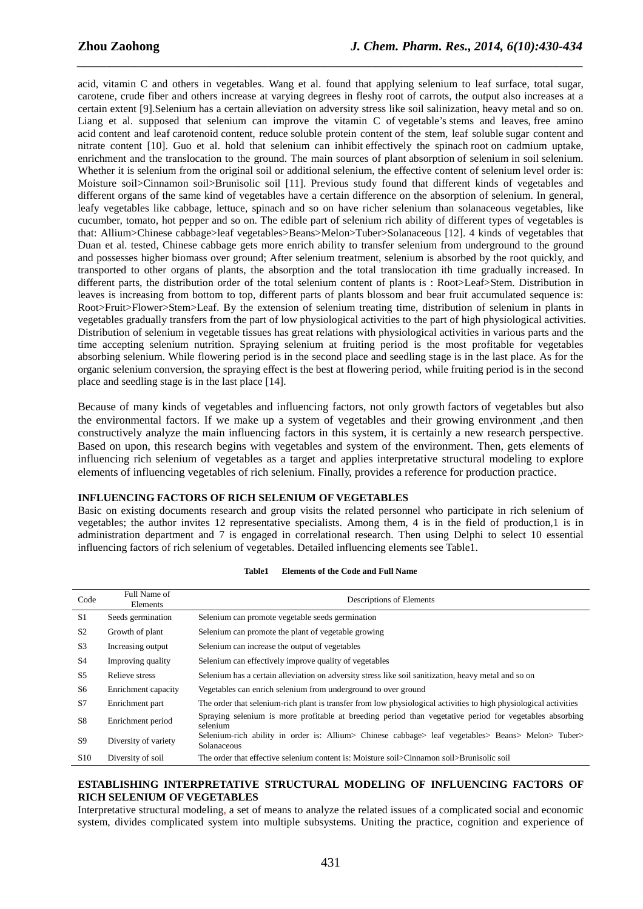acid, vitamin C and others in vegetables. Wang et al. found that applying selenium to leaf surface, total sugar, carotene, crude fiber and others increase at varying degrees in fleshy root of carrots, the output also increases at a certain extent [9].Selenium has a certain alleviation on adversity stress like soil salinization, heavy metal and so on. Liang et al. supposed that selenium can improve the vitamin C of vegetable's stems and leaves, free amino acid content and leaf carotenoid content, reduce soluble protein content of the stem, leaf soluble sugar content and nitrate content [10]. Guo et al. hold that selenium can inhibit effectively the spinach root on cadmium uptake, enrichment and the translocation to the ground. The main sources of plant absorption of selenium in soil selenium. Whether it is selenium from the original soil or additional selenium, the effective content of selenium level order is: Moisture soil>Cinnamon soil>Brunisolic soil [11]. Previous study found that different kinds of vegetables and different organs of the same kind of vegetables have a certain difference on the absorption of selenium. In general, leafy vegetables like cabbage, lettuce, spinach and so on have richer selenium than solanaceous vegetables, like cucumber, tomato, hot pepper and so on. The edible part of selenium rich ability of different types of vegetables is that: Allium>Chinese cabbage>leaf vegetables>Beans>Melon>Tuber>Solanaceous [12]. 4 kinds of vegetables that Duan et al. tested, Chinese cabbage gets more enrich ability to transfer selenium from underground to the ground and possesses higher biomass over ground; After selenium treatment, selenium is absorbed by the root quickly, and transported to other organs of plants, the absorption and the total translocation ith time gradually increased. In different parts, the distribution order of the total selenium content of plants is : Root>Leaf>Stem. Distribution in leaves is increasing from bottom to top, different parts of plants blossom and bear fruit accumulated sequence is: Root>Fruit>Flower>Stem>Leaf. By the extension of selenium treating time, distribution of selenium in plants in vegetables gradually transfers from the part of low physiological activities to the part of high physiological activities. Distribution of selenium in vegetable tissues has great relations with physiological activities in various parts and the time accepting selenium nutrition. Spraying selenium at fruiting period is the most profitable for vegetables absorbing selenium. While flowering period is in the second place and seedling stage is in the last place. As for the organic selenium conversion, the spraying effect is the best at flowering period, while fruiting period is in the second place and seedling stage is in the last place [14].

*\_\_\_\_\_\_\_\_\_\_\_\_\_\_\_\_\_\_\_\_\_\_\_\_\_\_\_\_\_\_\_\_\_\_\_\_\_\_\_\_\_\_\_\_\_\_\_\_\_\_\_\_\_\_\_\_\_\_\_\_\_\_\_\_\_\_\_\_\_\_\_\_\_\_\_\_\_\_*

Because of many kinds of vegetables and influencing factors, not only growth factors of vegetables but also the environmental factors. If we make up a system of vegetables and their growing environment ,and then constructively analyze the main influencing factors in this system, it is certainly a new research perspective. Based on upon, this research begins with vegetables and system of the environment. Then, gets elements of influencing rich selenium of vegetables as a target and applies interpretative structural modeling to explore elements of influencing vegetables of rich selenium. Finally, provides a reference for production practice.

# **INFLUENCING FACTORS OF RICH SELENIUM OF VEGETABLES**

Basic on existing documents research and group visits the related personnel who participate in rich selenium of vegetables; the author invites 12 representative specialists. Among them, 4 is in the field of production,1 is in administration department and 7 is engaged in correlational research. Then using Delphi to select 10 essential influencing factors of rich selenium of vegetables. Detailed influencing elements see Table1.

| Code            | Full Name of<br>Elements | Descriptions of Elements                                                                                            |  |  |  |  |  |  |
|-----------------|--------------------------|---------------------------------------------------------------------------------------------------------------------|--|--|--|--|--|--|
| S <sub>1</sub>  | Seeds germination        | Selenium can promote vegetable seeds germination                                                                    |  |  |  |  |  |  |
| S <sub>2</sub>  | Growth of plant          | Selenium can promote the plant of vegetable growing                                                                 |  |  |  |  |  |  |
| S <sub>3</sub>  | Increasing output        | Selenium can increase the output of vegetables                                                                      |  |  |  |  |  |  |
| S <sub>4</sub>  | Improving quality        | Selenium can effectively improve quality of vegetables                                                              |  |  |  |  |  |  |
| S5              | Relieve stress           | Selenium has a certain alleviation on adversity stress like soil sanitization, heavy metal and so on                |  |  |  |  |  |  |
| S6              | Enrichment capacity      | Vegetables can enrich selenium from underground to over ground                                                      |  |  |  |  |  |  |
| S7              | Enrichment part          | The order that selenium-rich plant is transfer from low physiological activities to high physiological activities   |  |  |  |  |  |  |
| S <sub>8</sub>  | Enrichment period        | Spraying selenium is more profitable at breeding period than vegetative period for vegetables absorbing<br>selenium |  |  |  |  |  |  |
| <b>S9</b>       | Diversity of variety     | Selenium-rich ability in order is: Allium> Chinese cabbage> leaf vegetables> Beans> Melon> Tuber><br>Solanaceous    |  |  |  |  |  |  |
| S <sub>10</sub> | Diversity of soil        | The order that effective selenium content is: Moisture soil>Cinnamon soil>Brunisolic soil                           |  |  |  |  |  |  |

#### **Table1 Elements of the Code and Full Name**

# **ESTABLISHING INTERPRETATIVE STRUCTURAL MODELING OF INFLUENCING FACTORS OF RICH SELENIUM OF VEGETABLES**

Interpretative structural modeling*,* a set of means to analyze the related issues of a complicated social and economic system, divides complicated system into multiple subsystems. Uniting the practice, cognition and experience of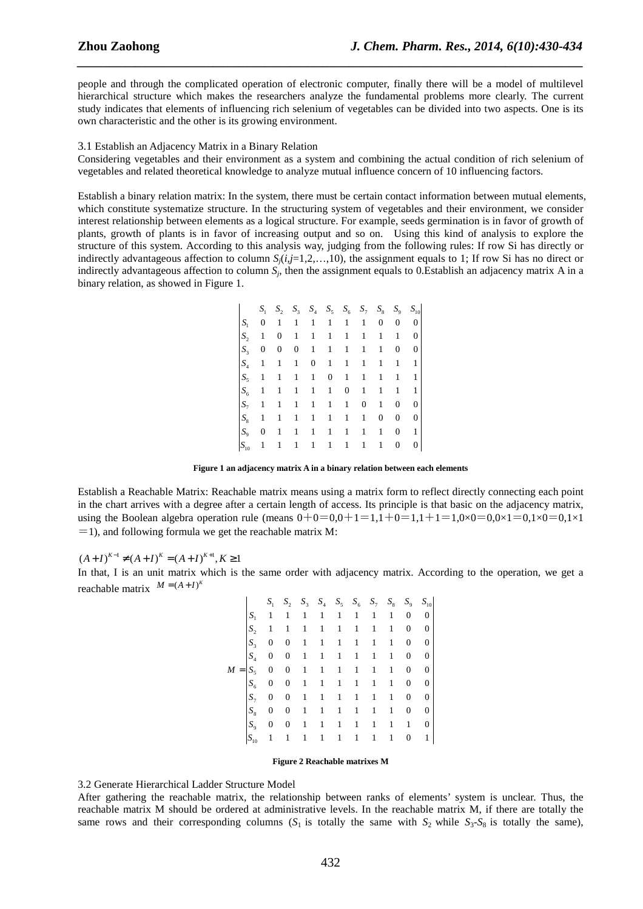people and through the complicated operation of electronic computer, finally there will be a model of multilevel hierarchical structure which makes the researchers analyze the fundamental problems more clearly. The current study indicates that elements of influencing rich selenium of vegetables can be divided into two aspects. One is its own characteristic and the other is its growing environment.

*\_\_\_\_\_\_\_\_\_\_\_\_\_\_\_\_\_\_\_\_\_\_\_\_\_\_\_\_\_\_\_\_\_\_\_\_\_\_\_\_\_\_\_\_\_\_\_\_\_\_\_\_\_\_\_\_\_\_\_\_\_\_\_\_\_\_\_\_\_\_\_\_\_\_\_\_\_\_*

#### 3.1 Establish an Adjacency Matrix in a Binary Relation

Considering vegetables and their environment as a system and combining the actual condition of rich selenium of vegetables and related theoretical knowledge to analyze mutual influence concern of 10 influencing factors.

Establish a binary relation matrix: In the system, there must be certain contact information between mutual elements, which constitute systematize structure. In the structuring system of vegetables and their environment, we consider interest relationship between elements as a logical structure. For example, seeds germination is in favor of growth of plants, growth of plants is in favor of increasing output and so on. Using this kind of analysis to explore the structure of this system. According to this analysis way, judging from the following rules: If row Si has directly or indirectly advantageous affection to column  $S_i(i,j=1,2,...,10)$ , the assignment equals to 1; If row Si has no direct or indirectly advantageous affection to column *S<sup>j</sup>* , then the assignment equals to 0.Establish an adjacency matrix A in a binary relation, as showed in Figure 1.

|                | $S_{1}$          |   |              | $S_2$ $S_3$ $S_4$ $S_5$ $S_6$ $S_7$ $S_8$ $S_9$ $S_{10}$ |                  |   |              |   |                  |   |
|----------------|------------------|---|--------------|----------------------------------------------------------|------------------|---|--------------|---|------------------|---|
| S <sub>1</sub> | 0                | 1 | 1            | 1                                                        | 1                | 1 | 1            | 0 | 0                | 0 |
| $S_{\gamma}$   | 1                | 0 | 1            | 1                                                        | 1                | 1 | 1            | 1 | 1                | 0 |
| $S_3$          | $\boldsymbol{0}$ | 0 | 0            | 1                                                        | 1                | 1 | 1            | 1 | $\boldsymbol{0}$ | 0 |
| $S_4$          | 1                | 1 | $\mathbf{1}$ | $\boldsymbol{0}$                                         | 1                | 1 | 1            | 1 | $\mathbf{1}$     | 1 |
| $S_{\rm S}$    | 1                | 1 | 1            | 1                                                        | $\boldsymbol{0}$ | 1 | 1            | 1 | 1                | 1 |
| $S_6$          | 1                | 1 | 1            | 1                                                        | 1                | 0 | 1            | 1 | 1                | 1 |
| $S_{\tau}$     | 1                | 1 | 1            | 1                                                        | 1                | 1 | $\mathbf{0}$ | 1 | 0                | 0 |
| $S_8$          | 1                | 1 | 1            | 1                                                        | 1                | 1 | 1            | 0 | 0                | 0 |
| $S_{\rm o}$    | $\boldsymbol{0}$ | 1 | 1            | 1                                                        | 1                | 1 | 1            | 1 | 0                | 1 |
| $S_{10}$       | 1                |   | 1            | 1                                                        | 1                | 1 | 1            | 1 | 0                | 0 |

**Figure 1 an adjacency matrix A in a binary relation between each elements** 

Establish a Reachable Matrix: Reachable matrix means using a matrix form to reflect directly connecting each point in the chart arrives with a degree after a certain length of access. Its principle is that basic on the adjacency matrix, using the Boolean algebra operation rule (means  $0+0=0,0+1=1,1+0=1,1+1=1,0\times 0=0,0\times 1=0,1\times 0=0,1\times 1$  $=$  1), and following formula we get the reachable matrix M:

 $(A+I)^{K-1} \neq (A+I)^{K} = (A+I)^{K+1}, K \geq 1$ 

In that, I is an unit matrix which is the same order with adjacency matrix. According to the operation, we get a reachable matrix  $M = (A + I)^{K}$ 

|       |                                   | $S_{1}$          | $S_2$ $S_3$ $S_4$ $S_5$ $S_6$ $S_7$ |              |                     |              |                             |              | $S_8$        |                  | $S_9$ $S_{10}$   |
|-------|-----------------------------------|------------------|-------------------------------------|--------------|---------------------|--------------|-----------------------------|--------------|--------------|------------------|------------------|
|       | $S_{1}$                           | -1               | 1                                   |              |                     |              | $1 \quad 1 \quad 1 \quad 1$ | 1            | $\mathbf{1}$ | $\mathbf{0}$     | 0 <sup>1</sup>   |
|       | $S_{\gamma}$                      | $\mathbf{1}$     | 1                                   | 1            |                     | $1 \quad 1$  | $\mathbf{1}$                | 1            | 1            | $\bf{0}$         | $\boldsymbol{0}$ |
|       | $S_{\rm a}$                       | $\boldsymbol{0}$ | 0                                   | $\mathbf{1}$ |                     |              | $1 \quad 1 \quad 1$         | $\mathbf{1}$ | $\mathbf{1}$ | $\boldsymbol{0}$ | $\boldsymbol{0}$ |
|       | $S_{\scriptscriptstyle\varDelta}$ | $\mathbf{0}$     | $\boldsymbol{0}$                    |              |                     |              | $1 \quad 1 \quad 1 \quad 1$ | 1            | $\mathbf{1}$ | $\mathbf{0}$     | $\boldsymbol{0}$ |
| $M =$ | $S_{\rm S}$                       | $\boldsymbol{0}$ | 0                                   |              | $1 \quad 1 \quad 1$ |              | $\vert 1 \vert$             | 1            | 1            | 0                | $\mathbf{0}$     |
|       | $S_6$                             | $\bf{0}$         | 0                                   |              |                     |              | $1 \quad 1 \quad 1 \quad 1$ | $\mathbf{1}$ | $\mathbf{1}$ | $\boldsymbol{0}$ | $\mathbf{0}$     |
|       | $S_{\tau}$                        | $\overline{0}$   | $\boldsymbol{0}$                    | $\mathbf{1}$ |                     | $1 \quad 1$  | $\mathbf{1}$                | $\mathbf{1}$ | $\mathbf{1}$ | $\boldsymbol{0}$ | 0                |
|       | $S_{\rm s}$                       | $\bf{0}$         | 0                                   | $\mathbf{1}$ | 1                   | $\mathbf{1}$ | $\vert 1 \vert$             | $\mathbf{1}$ | $\mathbf{1}$ | 0                | 0                |
|       | $S_{\rm o}$                       | $\bf{0}$         | 0                                   | $\mathbf{1}$ |                     |              | $1 \quad 1 \quad 1$         | 1            | 1            | 1                | 0                |
|       | $S_{10}$                          | 1                | 1                                   | 1            | 1                   | $\mathbf{1}$ | $\mathbf{1}$                | 1            | 1            | 0                | 1                |

### **Figure 2 Reachable matrixes M**

## 3.2 Generate Hierarchical Ladder Structure Model

After gathering the reachable matrix, the relationship between ranks of elements' system is unclear. Thus, the reachable matrix M should be ordered at administrative levels. In the reachable matrix M, if there are totally the same rows and their corresponding columns  $(S_1$  is totally the same with  $S_2$  while  $S_3$ - $S_8$  is totally the same),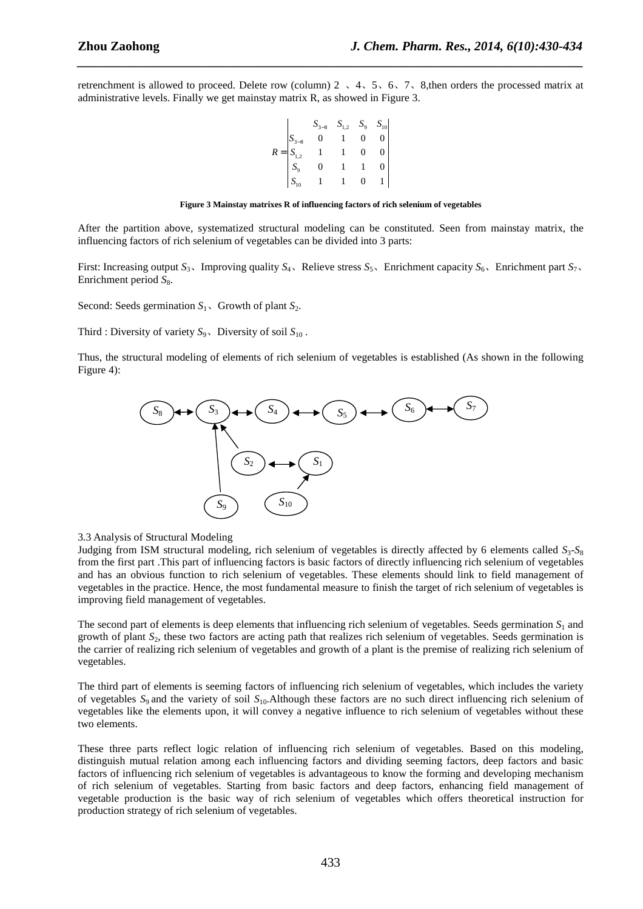retrenchment is allowed to proceed. Delete row (column)  $2 \times 4 \times 5 \times 6 \times 7 \times 8$ , then orders the processed matrix at administrative levels. Finally we get mainstay matrix R, as showed in Figure 3.

*\_\_\_\_\_\_\_\_\_\_\_\_\_\_\_\_\_\_\_\_\_\_\_\_\_\_\_\_\_\_\_\_\_\_\_\_\_\_\_\_\_\_\_\_\_\_\_\_\_\_\_\_\_\_\_\_\_\_\_\_\_\_\_\_\_\_\_\_\_\_\_\_\_\_\_\_\_\_*

$$
R = \begin{vmatrix} S_{3-8} & S_{1,2} & S_9 & S_{10} \\ S_{3-8} & 0 & 1 & 0 & 0 \\ S_{1,2} & 1 & 1 & 0 & 0 \\ S_9 & 0 & 1 & 1 & 0 \\ S_{10} & 1 & 1 & 0 & 1 \end{vmatrix}
$$

#### **Figure 3 Mainstay matrixes R of influencing factors of rich selenium of vegetables**

After the partition above, systematized structural modeling can be constituted. Seen from mainstay matrix, the influencing factors of rich selenium of vegetables can be divided into 3 parts:

First: Increasing output  $S_3$ , Improving quality  $S_4$ , Relieve stress  $S_5$ , Enrichment capacity  $S_6$ , Enrichment part  $S_7$ , Enrichment period  $S_8$ .

Second: Seeds germination  $S_1$ , Growth of plant  $S_2$ .

Third : Diversity of variety  $S_9$ . Diversity of soil  $S_{10}$ .

Thus, the structural modeling of elements of rich selenium of vegetables is established (As shown in the following Figure 4):



3.3 Analysis of Structural Modeling

Judging from ISM structural modeling, rich selenium of vegetables is directly affected by 6 elements called  $S_3$ - $S_8$ from the first part .This part of influencing factors is basic factors of directly influencing rich selenium of vegetables and has an obvious function to rich selenium of vegetables. These elements should link to field management of vegetables in the practice. Hence, the most fundamental measure to finish the target of rich selenium of vegetables is improving field management of vegetables.

The second part of elements is deep elements that influencing rich selenium of vegetables. Seeds germination  $S_1$  and growth of plant *S*2, these two factors are acting path that realizes rich selenium of vegetables. Seeds germination is the carrier of realizing rich selenium of vegetables and growth of a plant is the premise of realizing rich selenium of vegetables.

The third part of elements is seeming factors of influencing rich selenium of vegetables, which includes the variety of vegetables *S*9 and the variety of soil *S*10.Although these factors are no such direct influencing rich selenium of vegetables like the elements upon, it will convey a negative influence to rich selenium of vegetables without these two elements.

These three parts reflect logic relation of influencing rich selenium of vegetables. Based on this modeling, distinguish mutual relation among each influencing factors and dividing seeming factors, deep factors and basic factors of influencing rich selenium of vegetables is advantageous to know the forming and developing mechanism of rich selenium of vegetables. Starting from basic factors and deep factors, enhancing field management of vegetable production is the basic way of rich selenium of vegetables which offers theoretical instruction for production strategy of rich selenium of vegetables.